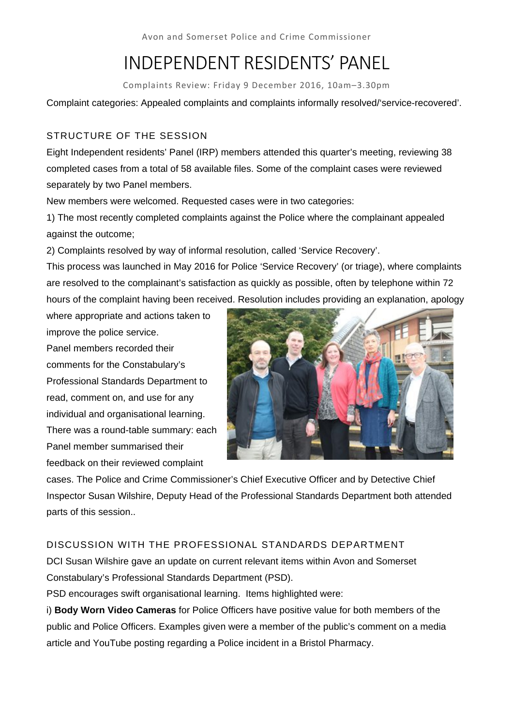Avon and Somerset Police and Crime Commissioner

# INDEPENDENT RESIDENTS' PANEL

Complaints Review: Friday 9 December 2016, 10am–3.30pm

Complaint categories: Appealed complaints and complaints informally resolved/'service-recovered'.

# STRUCTURE OF THE SESSION

Eight Independent residents' Panel (IRP) members attended this quarter's meeting, reviewing 38 completed cases from a total of 58 available files. Some of the complaint cases were reviewed separately by two Panel members.

New members were welcomed. Requested cases were in two categories:

1) The most recently completed complaints against the Police where the complainant appealed against the outcome;

2) Complaints resolved by way of informal resolution, called 'Service Recovery'.

This process was launched in May 2016 for Police 'Service Recovery' (or triage), where complaints are resolved to the complainant's satisfaction as quickly as possible, often by telephone within 72 hours of the complaint having been received. Resolution includes providing an explanation, apology

where appropriate and actions taken to improve the police service.

Panel members recorded their comments for the Constabulary's Professional Standards Department to read, comment on, and use for any individual and organisational learning. There was a round-table summary: each Panel member summarised their feedback on their reviewed complaint



cases. The Police and Crime Commissioner's Chief Executive Officer and by Detective Chief Inspector Susan Wilshire, Deputy Head of the Professional Standards Department both attended parts of this session..

# DISCUSSION WITH THE PROFESSIONAL STANDARDS DEPARTMENT

DCI Susan Wilshire gave an update on current relevant items within Avon and Somerset Constabulary's Professional Standards Department (PSD).

PSD encourages swift organisational learning. Items highlighted were:

i) **Body Worn Video Cameras** for Police Officers have positive value for both members of the public and Police Officers. Examples given were a member of the public's comment on a media article and YouTube posting regarding a Police incident in a Bristol Pharmacy.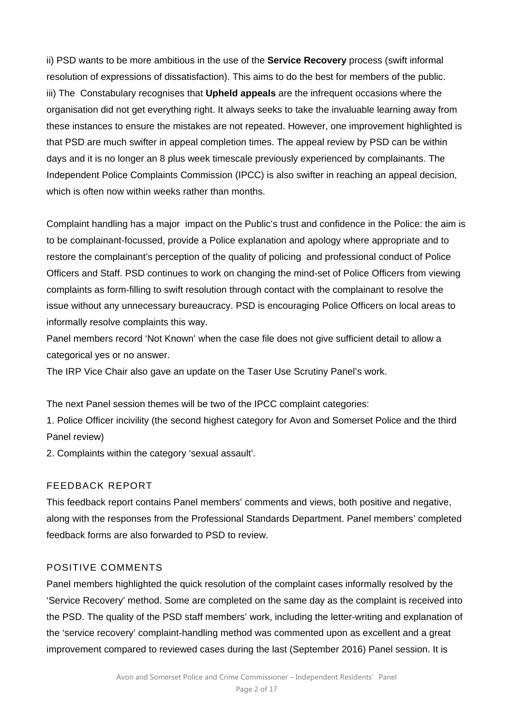ii) PSD wants to be more ambitious in the use of the **Service Recovery** process (swift informal resolution of expressions of dissatisfaction). This aims to do the best for members of the public. iii) The Constabulary recognises that **Upheld appeals** are the infrequent occasions where the organisation did not get everything right. It always seeks to take the invaluable learning away from these instances to ensure the mistakes are not repeated. However, one improvement highlighted is that PSD are much swifter in appeal completion times. The appeal review by PSD can be within days and it is no longer an 8 plus week timescale previously experienced by complainants. The Independent Police Complaints Commission (IPCC) is also swifter in reaching an appeal decision, which is often now within weeks rather than months.

Complaint handling has a major impact on the Public's trust and confidence in the Police: the aim is to be complainant-focussed, provide a Police explanation and apology where appropriate and to restore the complainant's perception of the quality of policing and professional conduct of Police Officers and Staff. PSD continues to work on changing the mind-set of Police Officers from viewing complaints as form-filling to swift resolution through contact with the complainant to resolve the issue without any unnecessary bureaucracy. PSD is encouraging Police Officers on local areas to informally resolve complaints this way.

Panel members record 'Not Known' when the case file does not give sufficient detail to allow a categorical yes or no answer.

The IRP Vice Chair also gave an update on the Taser Use Scrutiny Panel's work.

The next Panel session themes will be two of the IPCC complaint categories:

1. Police Officer incivility (the second highest category for Avon and Somerset Police and the third Panel review)

2. Complaints within the category 'sexual assault'.

# FEEDBACK REPORT

This feedback report contains Panel members' comments and views, both positive and negative, along with the responses from the Professional Standards Department. Panel members' completed feedback forms are also forwarded to PSD to review.

# POSITIVE COMMENTS

Panel members highlighted the quick resolution of the complaint cases informally resolved by the 'Service Recovery' method. Some are completed on the same day as the complaint is received into the PSD. The quality of the PSD staff members' work, including the letter-writing and explanation of the 'service recovery' complaint-handling method was commented upon as excellent and a great improvement compared to reviewed cases during the last (September 2016) Panel session. It is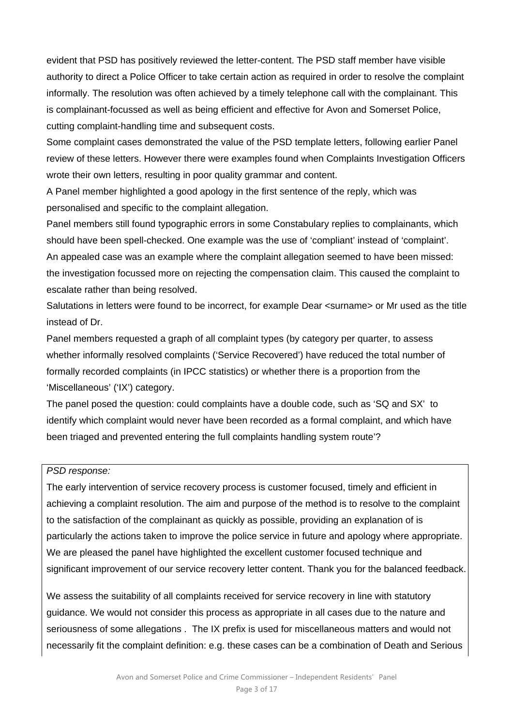evident that PSD has positively reviewed the letter-content. The PSD staff member have visible authority to direct a Police Officer to take certain action as required in order to resolve the complaint informally. The resolution was often achieved by a timely telephone call with the complainant. This is complainant-focussed as well as being efficient and effective for Avon and Somerset Police, cutting complaint-handling time and subsequent costs.

Some complaint cases demonstrated the value of the PSD template letters, following earlier Panel review of these letters. However there were examples found when Complaints Investigation Officers wrote their own letters, resulting in poor quality grammar and content.

A Panel member highlighted a good apology in the first sentence of the reply, which was personalised and specific to the complaint allegation.

Panel members still found typographic errors in some Constabulary replies to complainants, which should have been spell-checked. One example was the use of 'compliant' instead of 'complaint'. An appealed case was an example where the complaint allegation seemed to have been missed: the investigation focussed more on rejecting the compensation claim. This caused the complaint to escalate rather than being resolved.

Salutations in letters were found to be incorrect, for example Dear <surname> or Mr used as the title instead of Dr.

Panel members requested a graph of all complaint types (by category per quarter, to assess whether informally resolved complaints ('Service Recovered') have reduced the total number of formally recorded complaints (in IPCC statistics) or whether there is a proportion from the 'Miscellaneous' ('IX') category.

The panel posed the question: could complaints have a double code, such as 'SQ and SX' to identify which complaint would never have been recorded as a formal complaint, and which have been triaged and prevented entering the full complaints handling system route'?

#### *PSD response:*

The early intervention of service recovery process is customer focused, timely and efficient in achieving a complaint resolution. The aim and purpose of the method is to resolve to the complaint to the satisfaction of the complainant as quickly as possible, providing an explanation of is particularly the actions taken to improve the police service in future and apology where appropriate. We are pleased the panel have highlighted the excellent customer focused technique and significant improvement of our service recovery letter content. Thank you for the balanced feedback.

We assess the suitability of all complaints received for service recovery in line with statutory guidance. We would not consider this process as appropriate in all cases due to the nature and seriousness of some allegations . The IX prefix is used for miscellaneous matters and would not necessarily fit the complaint definition: e.g. these cases can be a combination of Death and Serious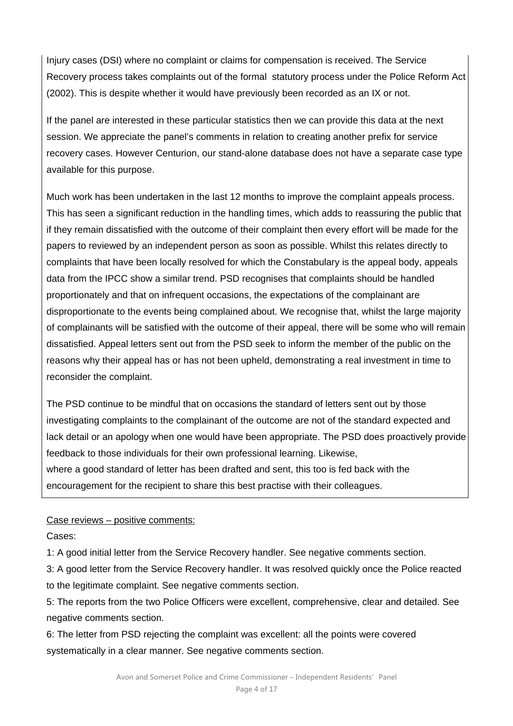Injury cases (DSI) where no complaint or claims for compensation is received. The Service Recovery process takes complaints out of the formal statutory process under the Police Reform Act (2002). This is despite whether it would have previously been recorded as an IX or not.

If the panel are interested in these particular statistics then we can provide this data at the next session. We appreciate the panel's comments in relation to creating another prefix for service recovery cases. However Centurion, our stand-alone database does not have a separate case type available for this purpose.

Much work has been undertaken in the last 12 months to improve the complaint appeals process. This has seen a significant reduction in the handling times, which adds to reassuring the public that if they remain dissatisfied with the outcome of their complaint then every effort will be made for the papers to reviewed by an independent person as soon as possible. Whilst this relates directly to complaints that have been locally resolved for which the Constabulary is the appeal body, appeals data from the IPCC show a similar trend. PSD recognises that complaints should be handled proportionately and that on infrequent occasions, the expectations of the complainant are disproportionate to the events being complained about. We recognise that, whilst the large majority of complainants will be satisfied with the outcome of their appeal, there will be some who will remain dissatisfied. Appeal letters sent out from the PSD seek to inform the member of the public on the reasons why their appeal has or has not been upheld, demonstrating a real investment in time to reconsider the complaint.

The PSD continue to be mindful that on occasions the standard of letters sent out by those investigating complaints to the complainant of the outcome are not of the standard expected and lack detail or an apology when one would have been appropriate. The PSD does proactively provide feedback to those individuals for their own professional learning. Likewise, where a good standard of letter has been drafted and sent, this too is fed back with the encouragement for the recipient to share this best practise with their colleagues.

Case reviews – positive comments:

Cases:

1: A good initial letter from the Service Recovery handler. See negative comments section.

3: A good letter from the Service Recovery handler. It was resolved quickly once the Police reacted to the legitimate complaint. See negative comments section.

5: The reports from the two Police Officers were excellent, comprehensive, clear and detailed. See negative comments section.

6: The letter from PSD rejecting the complaint was excellent: all the points were covered systematically in a clear manner. See negative comments section.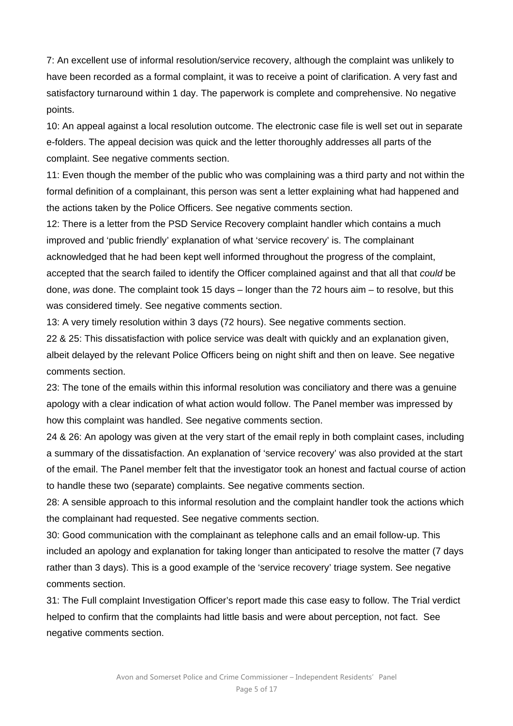7: An excellent use of informal resolution/service recovery, although the complaint was unlikely to have been recorded as a formal complaint, it was to receive a point of clarification. A very fast and satisfactory turnaround within 1 day. The paperwork is complete and comprehensive. No negative points.

10: An appeal against a local resolution outcome. The electronic case file is well set out in separate e-folders. The appeal decision was quick and the letter thoroughly addresses all parts of the complaint. See negative comments section.

11: Even though the member of the public who was complaining was a third party and not within the formal definition of a complainant, this person was sent a letter explaining what had happened and the actions taken by the Police Officers. See negative comments section.

12: There is a letter from the PSD Service Recovery complaint handler which contains a much improved and 'public friendly' explanation of what 'service recovery' is. The complainant acknowledged that he had been kept well informed throughout the progress of the complaint, accepted that the search failed to identify the Officer complained against and that all that *could* be done, *was* done. The complaint took 15 days – longer than the 72 hours aim – to resolve, but this was considered timely. See negative comments section.

13: A very timely resolution within 3 days (72 hours). See negative comments section.

22 & 25: This dissatisfaction with police service was dealt with quickly and an explanation given, albeit delayed by the relevant Police Officers being on night shift and then on leave. See negative comments section.

23: The tone of the emails within this informal resolution was conciliatory and there was a genuine apology with a clear indication of what action would follow. The Panel member was impressed by how this complaint was handled. See negative comments section.

24 & 26: An apology was given at the very start of the email reply in both complaint cases, including a summary of the dissatisfaction. An explanation of 'service recovery' was also provided at the start of the email. The Panel member felt that the investigator took an honest and factual course of action to handle these two (separate) complaints. See negative comments section.

28: A sensible approach to this informal resolution and the complaint handler took the actions which the complainant had requested. See negative comments section.

30: Good communication with the complainant as telephone calls and an email follow-up. This included an apology and explanation for taking longer than anticipated to resolve the matter (7 days rather than 3 days). This is a good example of the 'service recovery' triage system. See negative comments section.

31: The Full complaint Investigation Officer's report made this case easy to follow. The Trial verdict helped to confirm that the complaints had little basis and were about perception, not fact. See negative comments section.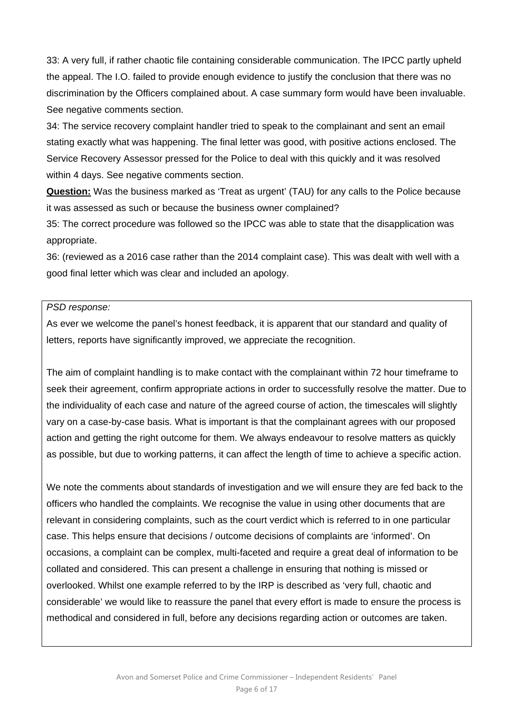33: A very full, if rather chaotic file containing considerable communication. The IPCC partly upheld the appeal. The I.O. failed to provide enough evidence to justify the conclusion that there was no discrimination by the Officers complained about. A case summary form would have been invaluable. See negative comments section.

34: The service recovery complaint handler tried to speak to the complainant and sent an email stating exactly what was happening. The final letter was good, with positive actions enclosed. The Service Recovery Assessor pressed for the Police to deal with this quickly and it was resolved within 4 days. See negative comments section.

**Question:** Was the business marked as 'Treat as urgent' (TAU) for any calls to the Police because it was assessed as such or because the business owner complained?

35: The correct procedure was followed so the IPCC was able to state that the disapplication was appropriate.

36: (reviewed as a 2016 case rather than the 2014 complaint case). This was dealt with well with a good final letter which was clear and included an apology.

#### *PSD response:*

As ever we welcome the panel's honest feedback, it is apparent that our standard and quality of letters, reports have significantly improved, we appreciate the recognition.

The aim of complaint handling is to make contact with the complainant within 72 hour timeframe to seek their agreement, confirm appropriate actions in order to successfully resolve the matter. Due to the individuality of each case and nature of the agreed course of action, the timescales will slightly vary on a case-by-case basis. What is important is that the complainant agrees with our proposed action and getting the right outcome for them. We always endeavour to resolve matters as quickly as possible, but due to working patterns, it can affect the length of time to achieve a specific action.

We note the comments about standards of investigation and we will ensure they are fed back to the officers who handled the complaints. We recognise the value in using other documents that are relevant in considering complaints, such as the court verdict which is referred to in one particular case. This helps ensure that decisions / outcome decisions of complaints are 'informed'. On occasions, a complaint can be complex, multi-faceted and require a great deal of information to be collated and considered. This can present a challenge in ensuring that nothing is missed or overlooked. Whilst one example referred to by the IRP is described as 'very full, chaotic and considerable' we would like to reassure the panel that every effort is made to ensure the process is methodical and considered in full, before any decisions regarding action or outcomes are taken.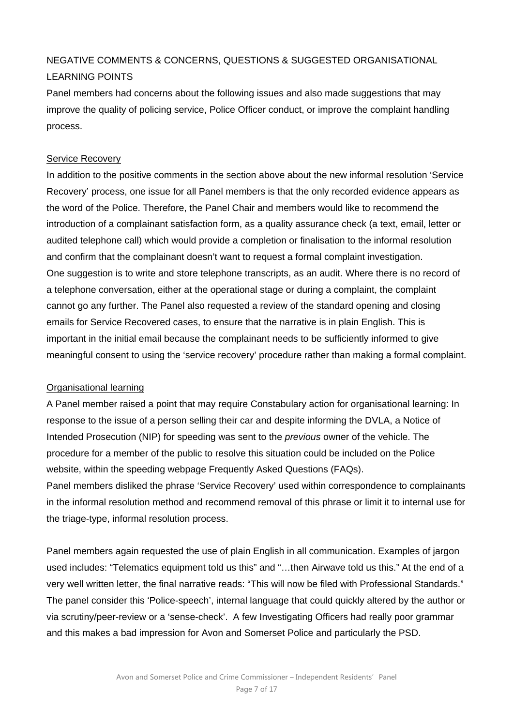# NEGATIVE COMMENTS & CONCERNS, QUESTIONS & SUGGESTED ORGANISATIONAL LEARNING POINTS

Panel members had concerns about the following issues and also made suggestions that may improve the quality of policing service, Police Officer conduct, or improve the complaint handling process.

# Service Recovery

In addition to the positive comments in the section above about the new informal resolution 'Service Recovery' process, one issue for all Panel members is that the only recorded evidence appears as the word of the Police. Therefore, the Panel Chair and members would like to recommend the introduction of a complainant satisfaction form, as a quality assurance check (a text, email, letter or audited telephone call) which would provide a completion or finalisation to the informal resolution and confirm that the complainant doesn't want to request a formal complaint investigation. One suggestion is to write and store telephone transcripts, as an audit. Where there is no record of a telephone conversation, either at the operational stage or during a complaint, the complaint cannot go any further. The Panel also requested a review of the standard opening and closing emails for Service Recovered cases, to ensure that the narrative is in plain English. This is important in the initial email because the complainant needs to be sufficiently informed to give meaningful consent to using the 'service recovery' procedure rather than making a formal complaint.

#### Organisational learning

A Panel member raised a point that may require Constabulary action for organisational learning: In response to the issue of a person selling their car and despite informing the DVLA, a Notice of Intended Prosecution (NIP) for speeding was sent to the *previous* owner of the vehicle. The procedure for a member of the public to resolve this situation could be included on the Police website, within the speeding webpage Frequently Asked Questions (FAQs). Panel members disliked the phrase 'Service Recovery' used within correspondence to complainants in the informal resolution method and recommend removal of this phrase or limit it to internal use for the triage-type, informal resolution process.

Panel members again requested the use of plain English in all communication. Examples of jargon used includes: "Telematics equipment told us this" and "…then Airwave told us this." At the end of a very well written letter, the final narrative reads: "This will now be filed with Professional Standards." The panel consider this 'Police-speech', internal language that could quickly altered by the author or via scrutiny/peer-review or a 'sense-check'. A few Investigating Officers had really poor grammar and this makes a bad impression for Avon and Somerset Police and particularly the PSD.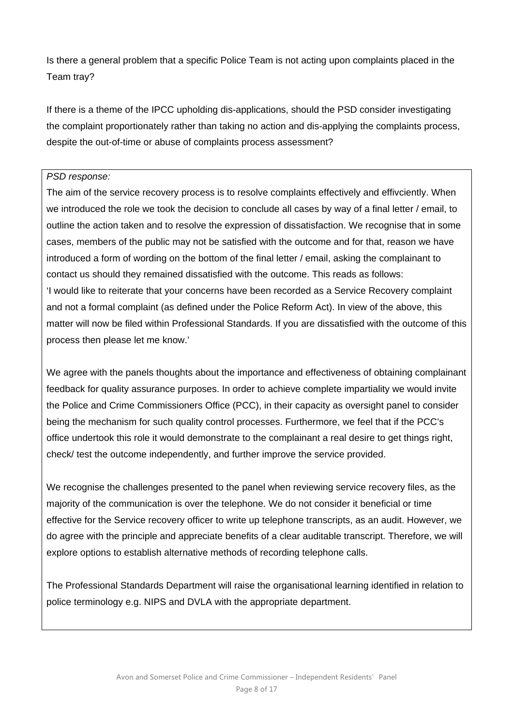Is there a general problem that a specific Police Team is not acting upon complaints placed in the Team tray?

If there is a theme of the IPCC upholding dis-applications, should the PSD consider investigating the complaint proportionately rather than taking no action and dis-applying the complaints process, despite the out-of-time or abuse of complaints process assessment?

#### *PSD response:*

The aim of the service recovery process is to resolve complaints effectively and effivciently. When we introduced the role we took the decision to conclude all cases by way of a final letter / email, to outline the action taken and to resolve the expression of dissatisfaction. We recognise that in some cases, members of the public may not be satisfied with the outcome and for that, reason we have introduced a form of wording on the bottom of the final letter / email, asking the complainant to contact us should they remained dissatisfied with the outcome. This reads as follows: 'I would like to reiterate that your concerns have been recorded as a Service Recovery complaint and not a formal complaint (as defined under the Police Reform Act). In view of the above, this matter will now be filed within Professional Standards. If you are dissatisfied with the outcome of this process then please let me know.'

We agree with the panels thoughts about the importance and effectiveness of obtaining complainant feedback for quality assurance purposes. In order to achieve complete impartiality we would invite the Police and Crime Commissioners Office (PCC), in their capacity as oversight panel to consider being the mechanism for such quality control processes. Furthermore, we feel that if the PCC's office undertook this role it would demonstrate to the complainant a real desire to get things right, check/ test the outcome independently, and further improve the service provided.

We recognise the challenges presented to the panel when reviewing service recovery files, as the majority of the communication is over the telephone. We do not consider it beneficial or time effective for the Service recovery officer to write up telephone transcripts, as an audit. However, we do agree with the principle and appreciate benefits of a clear auditable transcript. Therefore, we will explore options to establish alternative methods of recording telephone calls.

The Professional Standards Department will raise the organisational learning identified in relation to police terminology e.g. NIPS and DVLA with the appropriate department.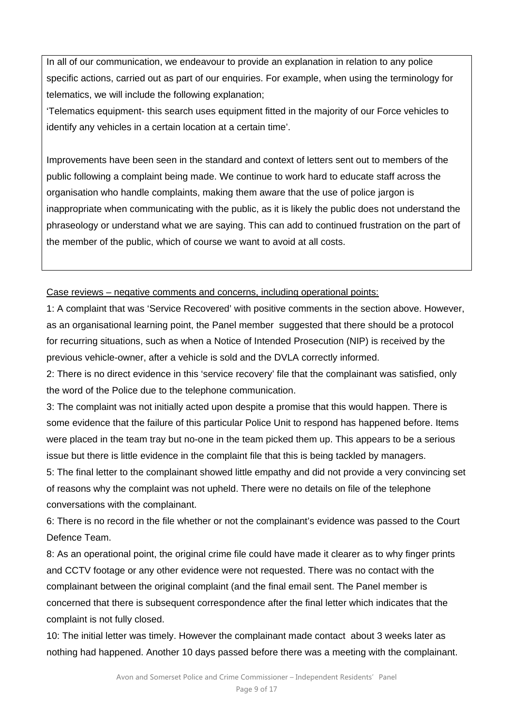In all of our communication, we endeavour to provide an explanation in relation to any police specific actions, carried out as part of our enquiries. For example, when using the terminology for telematics, we will include the following explanation;

'Telematics equipment- this search uses equipment fitted in the majority of our Force vehicles to identify any vehicles in a certain location at a certain time'.

Improvements have been seen in the standard and context of letters sent out to members of the public following a complaint being made. We continue to work hard to educate staff across the organisation who handle complaints, making them aware that the use of police jargon is inappropriate when communicating with the public, as it is likely the public does not understand the phraseology or understand what we are saying. This can add to continued frustration on the part of the member of the public, which of course we want to avoid at all costs.

## Case reviews – negative comments and concerns, including operational points:

1: A complaint that was 'Service Recovered' with positive comments in the section above. However, as an organisational learning point, the Panel member suggested that there should be a protocol for recurring situations, such as when a Notice of Intended Prosecution (NIP) is received by the previous vehicle-owner, after a vehicle is sold and the DVLA correctly informed.

2: There is no direct evidence in this 'service recovery' file that the complainant was satisfied, only the word of the Police due to the telephone communication.

3: The complaint was not initially acted upon despite a promise that this would happen. There is some evidence that the failure of this particular Police Unit to respond has happened before. Items were placed in the team tray but no-one in the team picked them up. This appears to be a serious issue but there is little evidence in the complaint file that this is being tackled by managers.

5: The final letter to the complainant showed little empathy and did not provide a very convincing set of reasons why the complaint was not upheld. There were no details on file of the telephone conversations with the complainant.

6: There is no record in the file whether or not the complainant's evidence was passed to the Court Defence Team.

8: As an operational point, the original crime file could have made it clearer as to why finger prints and CCTV footage or any other evidence were not requested. There was no contact with the complainant between the original complaint (and the final email sent. The Panel member is concerned that there is subsequent correspondence after the final letter which indicates that the complaint is not fully closed.

10: The initial letter was timely. However the complainant made contact about 3 weeks later as nothing had happened. Another 10 days passed before there was a meeting with the complainant.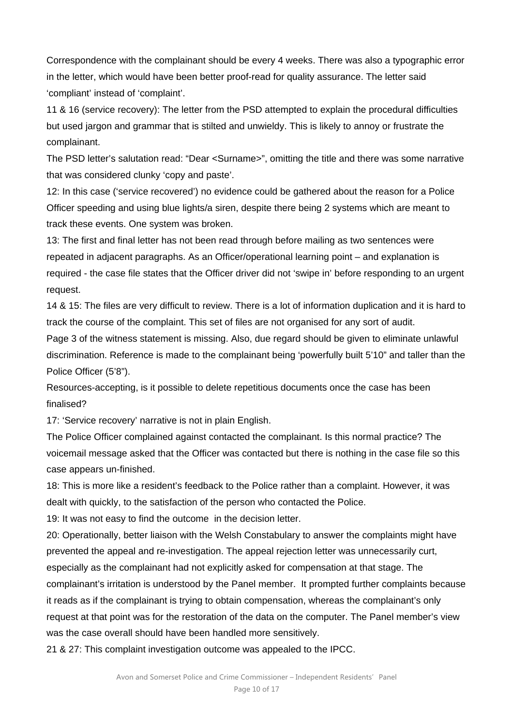Correspondence with the complainant should be every 4 weeks. There was also a typographic error in the letter, which would have been better proof-read for quality assurance. The letter said 'compliant' instead of 'complaint'.

11 & 16 (service recovery): The letter from the PSD attempted to explain the procedural difficulties but used jargon and grammar that is stilted and unwieldy. This is likely to annoy or frustrate the complainant.

The PSD letter's salutation read: "Dear <Surname>", omitting the title and there was some narrative that was considered clunky 'copy and paste'.

12: In this case ('service recovered') no evidence could be gathered about the reason for a Police Officer speeding and using blue lights/a siren, despite there being 2 systems which are meant to track these events. One system was broken.

13: The first and final letter has not been read through before mailing as two sentences were repeated in adjacent paragraphs. As an Officer/operational learning point – and explanation is required - the case file states that the Officer driver did not 'swipe in' before responding to an urgent request.

14 & 15: The files are very difficult to review. There is a lot of information duplication and it is hard to track the course of the complaint. This set of files are not organised for any sort of audit.

Page 3 of the witness statement is missing. Also, due regard should be given to eliminate unlawful discrimination. Reference is made to the complainant being 'powerfully built 5'10" and taller than the Police Officer (5'8").

Resources-accepting, is it possible to delete repetitious documents once the case has been finalised?

17: 'Service recovery' narrative is not in plain English.

The Police Officer complained against contacted the complainant. Is this normal practice? The voicemail message asked that the Officer was contacted but there is nothing in the case file so this case appears un-finished.

18: This is more like a resident's feedback to the Police rather than a complaint. However, it was dealt with quickly, to the satisfaction of the person who contacted the Police.

19: It was not easy to find the outcome in the decision letter.

20: Operationally, better liaison with the Welsh Constabulary to answer the complaints might have prevented the appeal and re-investigation. The appeal rejection letter was unnecessarily curt, especially as the complainant had not explicitly asked for compensation at that stage. The complainant's irritation is understood by the Panel member. It prompted further complaints because it reads as if the complainant is trying to obtain compensation, whereas the complainant's only request at that point was for the restoration of the data on the computer. The Panel member's view was the case overall should have been handled more sensitively.

21 & 27: This complaint investigation outcome was appealed to the IPCC.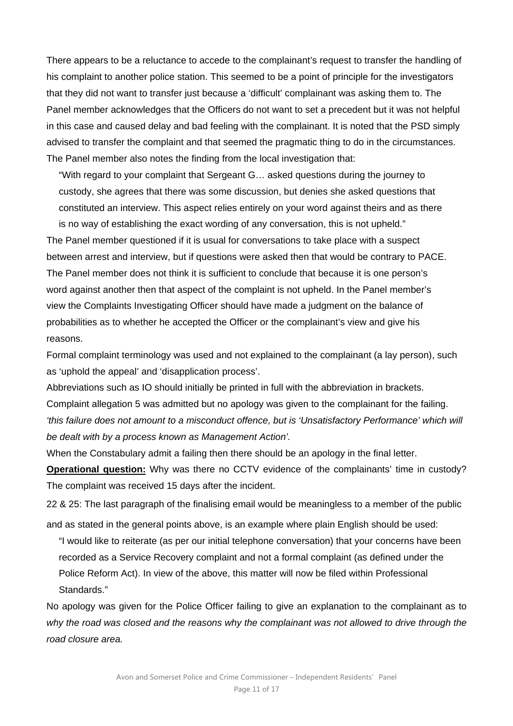There appears to be a reluctance to accede to the complainant's request to transfer the handling of his complaint to another police station. This seemed to be a point of principle for the investigators that they did not want to transfer just because a 'difficult' complainant was asking them to. The Panel member acknowledges that the Officers do not want to set a precedent but it was not helpful in this case and caused delay and bad feeling with the complainant. It is noted that the PSD simply advised to transfer the complaint and that seemed the pragmatic thing to do in the circumstances. The Panel member also notes the finding from the local investigation that:

"With regard to your complaint that Sergeant G… asked questions during the journey to custody, she agrees that there was some discussion, but denies she asked questions that constituted an interview. This aspect relies entirely on your word against theirs and as there is no way of establishing the exact wording of any conversation, this is not upheld."

The Panel member questioned if it is usual for conversations to take place with a suspect between arrest and interview, but if questions were asked then that would be contrary to PACE. The Panel member does not think it is sufficient to conclude that because it is one person's word against another then that aspect of the complaint is not upheld. In the Panel member's view the Complaints Investigating Officer should have made a judgment on the balance of probabilities as to whether he accepted the Officer or the complainant's view and give his reasons.

Formal complaint terminology was used and not explained to the complainant (a lay person), such as 'uphold the appeal' and 'disapplication process'.

Abbreviations such as IO should initially be printed in full with the abbreviation in brackets. Complaint allegation 5 was admitted but no apology was given to the complainant for the failing. *'this failure does not amount to a misconduct offence, but is 'Unsatisfactory Performance' which will be dealt with by a process known as Management Action'.* 

When the Constabulary admit a failing then there should be an apology in the final letter.

**Operational question:** Why was there no CCTV evidence of the complainants' time in custody? The complaint was received 15 days after the incident.

22 & 25: The last paragraph of the finalising email would be meaningless to a member of the public and as stated in the general points above, is an example where plain English should be used:

"I would like to reiterate (as per our initial telephone conversation) that your concerns have been recorded as a Service Recovery complaint and not a formal complaint (as defined under the Police Reform Act). In view of the above, this matter will now be filed within Professional Standards."

No apology was given for the Police Officer failing to give an explanation to the complainant as to *why the road was closed and the reasons why the complainant was not allowed to drive through the road closure area.*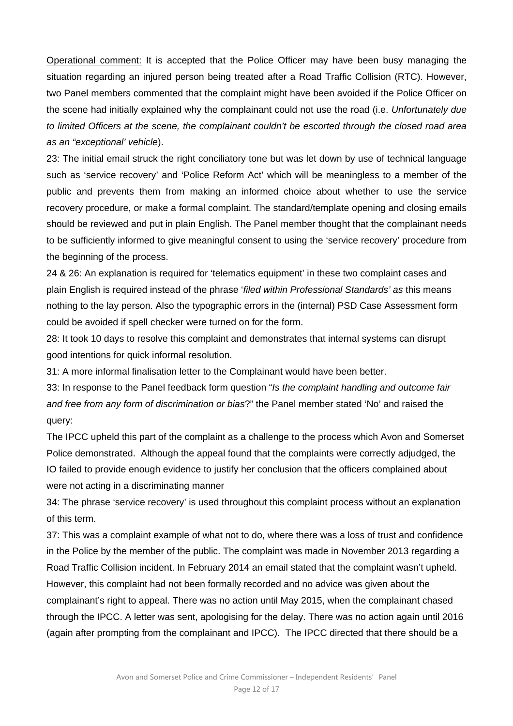Operational comment: It is accepted that the Police Officer may have been busy managing the situation regarding an injured person being treated after a Road Traffic Collision (RTC). However, two Panel members commented that the complaint might have been avoided if the Police Officer on the scene had initially explained why the complainant could not use the road (i.e. *Unfortunately due to limited Officers at the scene, the complainant couldn't be escorted through the closed road area as an "exceptional' vehicle*).

23: The initial email struck the right conciliatory tone but was let down by use of technical language such as 'service recovery' and 'Police Reform Act' which will be meaningless to a member of the public and prevents them from making an informed choice about whether to use the service recovery procedure, or make a formal complaint. The standard/template opening and closing emails should be reviewed and put in plain English. The Panel member thought that the complainant needs to be sufficiently informed to give meaningful consent to using the 'service recovery' procedure from the beginning of the process.

24 & 26: An explanation is required for 'telematics equipment' in these two complaint cases and plain English is required instead of the phrase '*filed within Professional Standards' as* this means nothing to the lay person. Also the typographic errors in the (internal) PSD Case Assessment form could be avoided if spell checker were turned on for the form.

28: It took 10 days to resolve this complaint and demonstrates that internal systems can disrupt good intentions for quick informal resolution.

31: A more informal finalisation letter to the Complainant would have been better.

33: In response to the Panel feedback form question "*Is the complaint handling and outcome fair and free from any form of discrimination or bias*?" the Panel member stated 'No' and raised the query:

The IPCC upheld this part of the complaint as a challenge to the process which Avon and Somerset Police demonstrated. Although the appeal found that the complaints were correctly adjudged, the IO failed to provide enough evidence to justify her conclusion that the officers complained about were not acting in a discriminating manner

34: The phrase 'service recovery' is used throughout this complaint process without an explanation of this term.

37: This was a complaint example of what not to do, where there was a loss of trust and confidence in the Police by the member of the public. The complaint was made in November 2013 regarding a Road Traffic Collision incident. In February 2014 an email stated that the complaint wasn't upheld. However, this complaint had not been formally recorded and no advice was given about the complainant's right to appeal. There was no action until May 2015, when the complainant chased through the IPCC. A letter was sent, apologising for the delay. There was no action again until 2016 (again after prompting from the complainant and IPCC). The IPCC directed that there should be a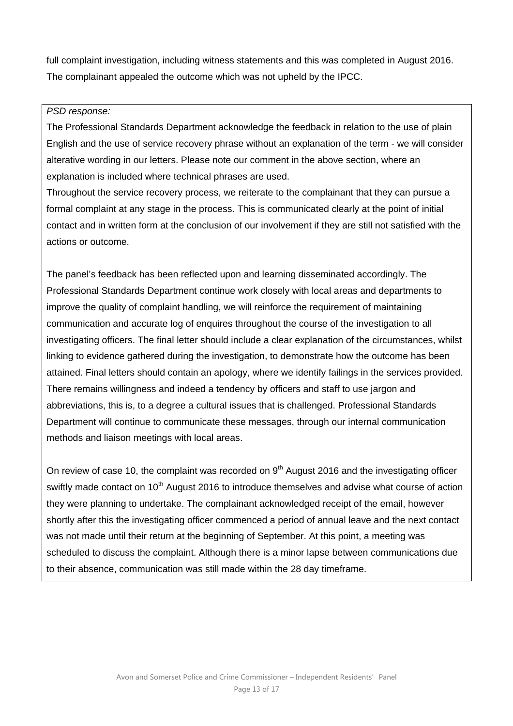full complaint investigation, including witness statements and this was completed in August 2016. The complainant appealed the outcome which was not upheld by the IPCC.

#### *PSD response:*

The Professional Standards Department acknowledge the feedback in relation to the use of plain English and the use of service recovery phrase without an explanation of the term - we will consider alterative wording in our letters. Please note our comment in the above section, where an explanation is included where technical phrases are used.

Throughout the service recovery process, we reiterate to the complainant that they can pursue a formal complaint at any stage in the process. This is communicated clearly at the point of initial contact and in written form at the conclusion of our involvement if they are still not satisfied with the actions or outcome.

The panel's feedback has been reflected upon and learning disseminated accordingly. The Professional Standards Department continue work closely with local areas and departments to improve the quality of complaint handling, we will reinforce the requirement of maintaining communication and accurate log of enquires throughout the course of the investigation to all investigating officers. The final letter should include a clear explanation of the circumstances, whilst linking to evidence gathered during the investigation, to demonstrate how the outcome has been attained. Final letters should contain an apology, where we identify failings in the services provided. There remains willingness and indeed a tendency by officers and staff to use jargon and abbreviations, this is, to a degree a cultural issues that is challenged. Professional Standards Department will continue to communicate these messages, through our internal communication methods and liaison meetings with local areas.

On review of case 10, the complaint was recorded on  $9<sup>th</sup>$  August 2016 and the investigating officer swiftly made contact on 10<sup>th</sup> August 2016 to introduce themselves and advise what course of action they were planning to undertake. The complainant acknowledged receipt of the email, however shortly after this the investigating officer commenced a period of annual leave and the next contact was not made until their return at the beginning of September. At this point, a meeting was scheduled to discuss the complaint. Although there is a minor lapse between communications due to their absence, communication was still made within the 28 day timeframe.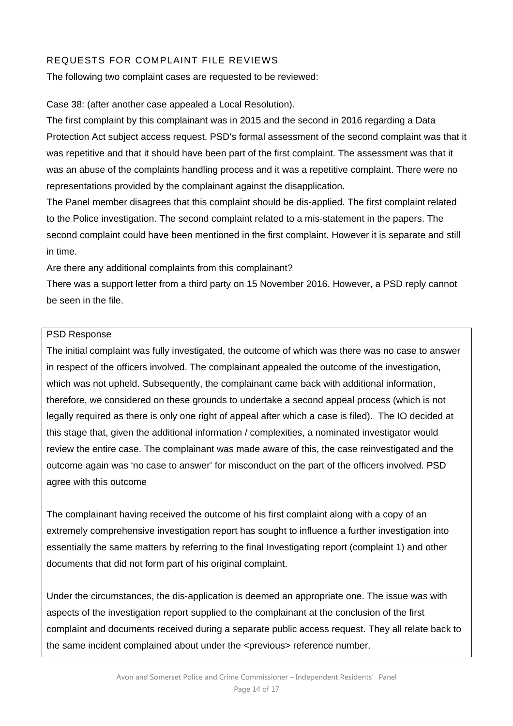# REQUESTS FOR COMPLAINT FILE REVIEWS

The following two complaint cases are requested to be reviewed:

Case 38: (after another case appealed a Local Resolution).

The first complaint by this complainant was in 2015 and the second in 2016 regarding a Data Protection Act subject access request. PSD's formal assessment of the second complaint was that it was repetitive and that it should have been part of the first complaint. The assessment was that it was an abuse of the complaints handling process and it was a repetitive complaint. There were no representations provided by the complainant against the disapplication.

The Panel member disagrees that this complaint should be dis-applied. The first complaint related to the Police investigation. The second complaint related to a mis-statement in the papers. The second complaint could have been mentioned in the first complaint. However it is separate and still in time.

Are there any additional complaints from this complainant?

There was a support letter from a third party on 15 November 2016. However, a PSD reply cannot be seen in the file.

# PSD Response

The initial complaint was fully investigated, the outcome of which was there was no case to answer in respect of the officers involved. The complainant appealed the outcome of the investigation, which was not upheld. Subsequently, the complainant came back with additional information, therefore, we considered on these grounds to undertake a second appeal process (which is not legally required as there is only one right of appeal after which a case is filed). The IO decided at this stage that, given the additional information / complexities, a nominated investigator would review the entire case. The complainant was made aware of this, the case reinvestigated and the outcome again was 'no case to answer' for misconduct on the part of the officers involved. PSD agree with this outcome

The complainant having received the outcome of his first complaint along with a copy of an extremely comprehensive investigation report has sought to influence a further investigation into essentially the same matters by referring to the final Investigating report (complaint 1) and other documents that did not form part of his original complaint.

Under the circumstances, the dis-application is deemed an appropriate one. The issue was with aspects of the investigation report supplied to the complainant at the conclusion of the first complaint and documents received during a separate public access request. They all relate back to the same incident complained about under the <previous> reference number.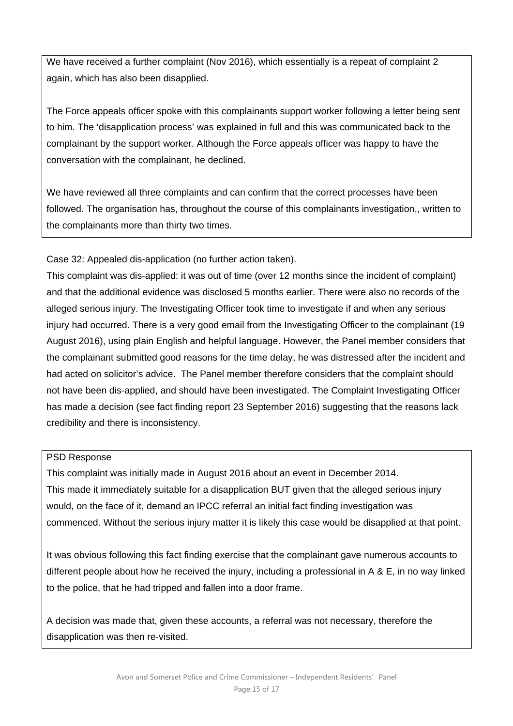We have received a further complaint (Nov 2016), which essentially is a repeat of complaint 2 again, which has also been disapplied.

The Force appeals officer spoke with this complainants support worker following a letter being sent to him. The 'disapplication process' was explained in full and this was communicated back to the complainant by the support worker. Although the Force appeals officer was happy to have the conversation with the complainant, he declined.

We have reviewed all three complaints and can confirm that the correct processes have been followed. The organisation has, throughout the course of this complainants investigation,, written to the complainants more than thirty two times.

Case 32: Appealed dis-application (no further action taken).

This complaint was dis-applied: it was out of time (over 12 months since the incident of complaint) and that the additional evidence was disclosed 5 months earlier. There were also no records of the alleged serious injury. The Investigating Officer took time to investigate if and when any serious injury had occurred. There is a very good email from the Investigating Officer to the complainant (19 August 2016), using plain English and helpful language. However, the Panel member considers that the complainant submitted good reasons for the time delay, he was distressed after the incident and had acted on solicitor's advice. The Panel member therefore considers that the complaint should not have been dis-applied, and should have been investigated. The Complaint Investigating Officer has made a decision (see fact finding report 23 September 2016) suggesting that the reasons lack credibility and there is inconsistency.

# PSD Response

This complaint was initially made in August 2016 about an event in December 2014. This made it immediately suitable for a disapplication BUT given that the alleged serious injury would, on the face of it, demand an IPCC referral an initial fact finding investigation was commenced. Without the serious injury matter it is likely this case would be disapplied at that point.

It was obvious following this fact finding exercise that the complainant gave numerous accounts to different people about how he received the injury, including a professional in A & E, in no way linked to the police, that he had tripped and fallen into a door frame.

A decision was made that, given these accounts, a referral was not necessary, therefore the disapplication was then re-visited.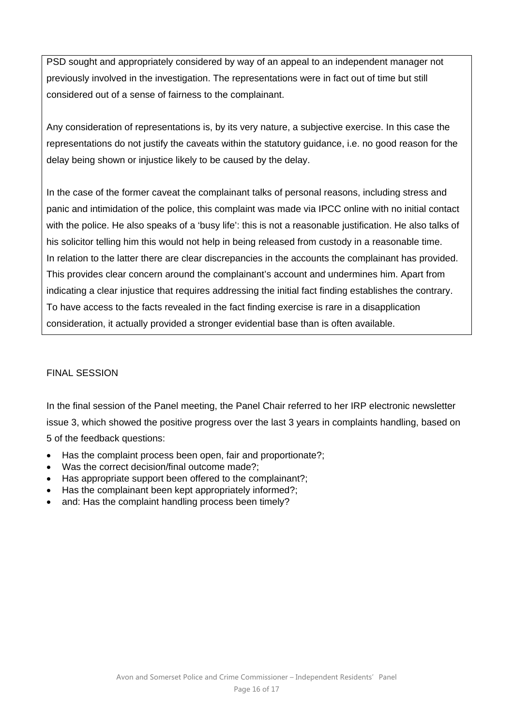PSD sought and appropriately considered by way of an appeal to an independent manager not previously involved in the investigation. The representations were in fact out of time but still considered out of a sense of fairness to the complainant.

Any consideration of representations is, by its very nature, a subjective exercise. In this case the representations do not justify the caveats within the statutory guidance, i.e. no good reason for the delay being shown or injustice likely to be caused by the delay.

In the case of the former caveat the complainant talks of personal reasons, including stress and panic and intimidation of the police, this complaint was made via IPCC online with no initial contact with the police. He also speaks of a 'busy life': this is not a reasonable justification. He also talks of his solicitor telling him this would not help in being released from custody in a reasonable time. In relation to the latter there are clear discrepancies in the accounts the complainant has provided. This provides clear concern around the complainant's account and undermines him. Apart from indicating a clear injustice that requires addressing the initial fact finding establishes the contrary. To have access to the facts revealed in the fact finding exercise is rare in a disapplication consideration, it actually provided a stronger evidential base than is often available.

#### FINAL SESSION

In the final session of the Panel meeting, the Panel Chair referred to her IRP electronic newsletter issue 3, which showed the positive progress over the last 3 years in complaints handling, based on 5 of the feedback questions:

- Has the complaint process been open, fair and proportionate?;
- Was the correct decision/final outcome made?;
- Has appropriate support been offered to the complainant?:
- Has the complainant been kept appropriately informed?:
- and: Has the complaint handling process been timely?